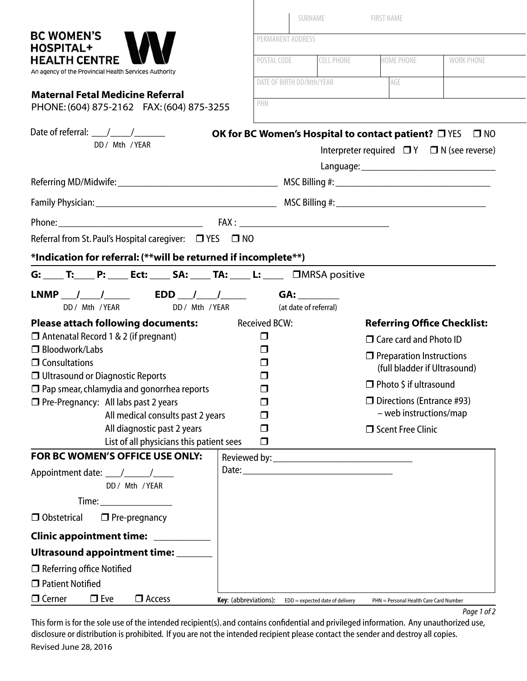|                                                                                                                                                                                                                                                                                                                                                                                                                                   | SURNAME<br><b>FIRST NAME</b><br>PERMANENT ADDRESS |                                 |                                                                                                                  |                   |
|-----------------------------------------------------------------------------------------------------------------------------------------------------------------------------------------------------------------------------------------------------------------------------------------------------------------------------------------------------------------------------------------------------------------------------------|---------------------------------------------------|---------------------------------|------------------------------------------------------------------------------------------------------------------|-------------------|
| <b>BC WOMEN'S</b>                                                                                                                                                                                                                                                                                                                                                                                                                 |                                                   |                                 |                                                                                                                  |                   |
| <b>HOSPITAL+</b><br><b>HEALTH CENTRE</b><br>An agency of the Provincial Health Services Authority                                                                                                                                                                                                                                                                                                                                 | POSTAL CODE                                       | <b>CELL PHONE</b>               | HOME PHONE                                                                                                       | <b>WORK PHONE</b> |
|                                                                                                                                                                                                                                                                                                                                                                                                                                   | DATE OF BIRTH DD/Mth/YEAR                         |                                 | AGE                                                                                                              |                   |
| <b>Maternal Fetal Medicine Referral</b><br>PHONE: (604) 875-2162 FAX: (604) 875-3255                                                                                                                                                                                                                                                                                                                                              | PHN                                               |                                 |                                                                                                                  |                   |
|                                                                                                                                                                                                                                                                                                                                                                                                                                   |                                                   |                                 |                                                                                                                  |                   |
| Date of referral: $\frac{1}{\sqrt{1-\frac{1}{2}}}\frac{1}{\sqrt{1-\frac{1}{2}}}\frac{1}{\sqrt{1-\frac{1}{2}}}\frac{1}{\sqrt{1-\frac{1}{2}}}\frac{1}{\sqrt{1-\frac{1}{2}}}\frac{1}{\sqrt{1-\frac{1}{2}}}\frac{1}{\sqrt{1-\frac{1}{2}}}\frac{1}{\sqrt{1-\frac{1}{2}}}\frac{1}{\sqrt{1-\frac{1}{2}}}\frac{1}{\sqrt{1-\frac{1}{2}}}\frac{1}{\sqrt{1-\frac{1}{2}}}\frac{1}{\sqrt{1-\frac{1}{2}}}\frac{1}{\sqrt{1-\$<br>DD / Mth / YEAR |                                                   |                                 | <b>OK for BC Women's Hospital to contact patient?</b> ON<br>Interpreter required $\Box Y$ $\Box N$ (see reverse) | $\square$ NO      |
|                                                                                                                                                                                                                                                                                                                                                                                                                                   |                                                   |                                 |                                                                                                                  |                   |
|                                                                                                                                                                                                                                                                                                                                                                                                                                   |                                                   |                                 |                                                                                                                  |                   |
|                                                                                                                                                                                                                                                                                                                                                                                                                                   |                                                   |                                 |                                                                                                                  |                   |
|                                                                                                                                                                                                                                                                                                                                                                                                                                   |                                                   |                                 |                                                                                                                  |                   |
| Referral from St. Paul's Hospital caregiver:<br>O YES O NO                                                                                                                                                                                                                                                                                                                                                                        |                                                   |                                 |                                                                                                                  |                   |
| *Indication for referral: (**will be returned if incomplete**)                                                                                                                                                                                                                                                                                                                                                                    |                                                   |                                 |                                                                                                                  |                   |
|                                                                                                                                                                                                                                                                                                                                                                                                                                   |                                                   |                                 |                                                                                                                  |                   |
| LNMP __ /____ /______  EDD ___ /____ /______                                                                                                                                                                                                                                                                                                                                                                                      |                                                   | GA:                             |                                                                                                                  |                   |
| DD / Mth / YEAR<br>DD / Mth / YEAR                                                                                                                                                                                                                                                                                                                                                                                                |                                                   | (at date of referral)           |                                                                                                                  |                   |
| <b>Please attach following documents:</b> Received BCW:                                                                                                                                                                                                                                                                                                                                                                           |                                                   |                                 | <b>Referring Office Checklist:</b>                                                                               |                   |
| $\Box$ Antenatal Record 1 & 2 (if pregnant)                                                                                                                                                                                                                                                                                                                                                                                       | $\Box$                                            |                                 | $\Box$ Care card and Photo ID                                                                                    |                   |
| $\Box$ Bloodwork/Labs<br>$\Box$ Consultations                                                                                                                                                                                                                                                                                                                                                                                     | $\Box$<br>$\Box$                                  |                                 | $\Box$ Preparation Instructions                                                                                  |                   |
| $\Box$ Ultrasound or Diagnostic Reports                                                                                                                                                                                                                                                                                                                                                                                           | ⊓                                                 |                                 | (full bladder if Ultrasound)                                                                                     |                   |
| $\Box$ Pap smear, chlamydia and gonorrhea reports<br>$\Box$                                                                                                                                                                                                                                                                                                                                                                       |                                                   |                                 | $\Box$ Photo \$ if ultrasound<br>$\Box$ Directions (Entrance #93)                                                |                   |
| □ Pre-Pregnancy: All labs past 2 years<br>All medical consults past 2 years                                                                                                                                                                                                                                                                                                                                                       | П                                                 |                                 | - web instructions/map                                                                                           |                   |
| All diagnostic past 2 years                                                                                                                                                                                                                                                                                                                                                                                                       | П                                                 |                                 | □ Scent Free Clinic                                                                                              |                   |
| List of all physicians this patient sees                                                                                                                                                                                                                                                                                                                                                                                          | □                                                 |                                 |                                                                                                                  |                   |
| FOR BC WOMEN'S OFFICE USE ONLY:                                                                                                                                                                                                                                                                                                                                                                                                   |                                                   |                                 |                                                                                                                  |                   |
| DD / Mth / YEAR                                                                                                                                                                                                                                                                                                                                                                                                                   |                                                   |                                 |                                                                                                                  |                   |
|                                                                                                                                                                                                                                                                                                                                                                                                                                   |                                                   |                                 |                                                                                                                  |                   |
| □ Obstetrical<br>$\Box$ Pre-pregnancy                                                                                                                                                                                                                                                                                                                                                                                             |                                                   |                                 |                                                                                                                  |                   |
| Clinic appointment time: __________                                                                                                                                                                                                                                                                                                                                                                                               |                                                   |                                 |                                                                                                                  |                   |
| Ultrasound appointment time: _____                                                                                                                                                                                                                                                                                                                                                                                                |                                                   |                                 |                                                                                                                  |                   |
| $\Box$ Referring office Notified                                                                                                                                                                                                                                                                                                                                                                                                  |                                                   |                                 |                                                                                                                  |                   |
| $\Box$ Patient Notified                                                                                                                                                                                                                                                                                                                                                                                                           |                                                   |                                 |                                                                                                                  |                   |
| $\Box$ Cerner<br>$\Box$ Eve<br>$\Box$ Access                                                                                                                                                                                                                                                                                                                                                                                      | Key: (abbreviations):                             | EDD = expected date of delivery | PHN = Personal Health Care Card Number                                                                           |                   |

*Page 1 of 2*

This form is for the sole use of the intended recipient(s). and contains confidential and privileged information. Any unauthorized use, disclosure or distribution is prohibited. If you are not the intended recipient please contact the sender and destroy all copies. Revised June 28, 2016